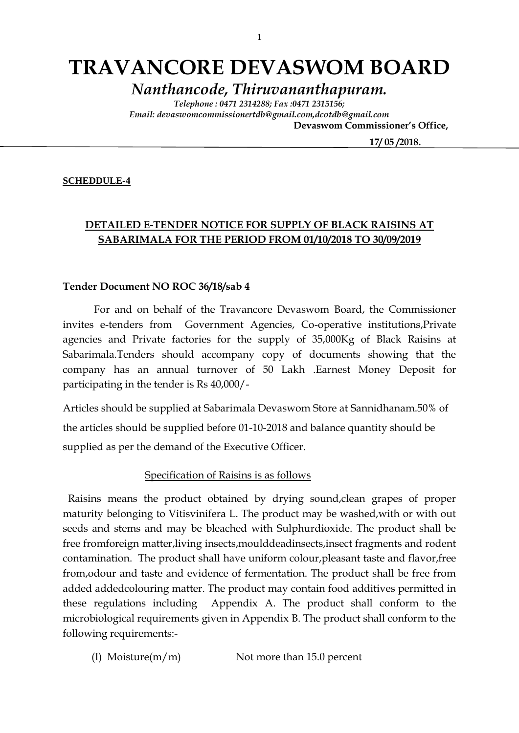# **TRAVANCORE DEVASWOM BOARD**

*Nanthancode, Thiruvananthapuram.*

*Telephone : 0471 2314288; Fax :0471 2315156; Email: devaswomcommissionertdb@gmail.com,dcotdb@gmail.com*  **Devaswom Commissioner's Office,**

 **17/ 05 /2018.**

#### **SCHEDDULE-4**

### **DETAILED E-TENDER NOTICE FOR SUPPLY OF BLACK RAISINS AT SABARIMALA FOR THE PERIOD FROM 01/10/2018 TO 30/09/2019**

#### **Tender Document NO ROC 36/18/sab 4**

For and on behalf of the Travancore Devaswom Board, the Commissioner invites e-tenders from Government Agencies, Co-operative institutions,Private agencies and Private factories for the supply of 35,000Kg of Black Raisins at Sabarimala.Tenders should accompany copy of documents showing that the company has an annual turnover of 50 Lakh .Earnest Money Deposit for participating in the tender is Rs 40,000/-

Articles should be supplied at Sabarimala Devaswom Store at Sannidhanam.50% of the articles should be supplied before 01-10-2018 and balance quantity should be supplied as per the demand of the Executive Officer.

#### Specification of Raisins is as follows

 Raisins means the product obtained by drying sound,clean grapes of proper maturity belonging to Vitisvinifera L. The product may be washed,with or with out seeds and stems and may be bleached with Sulphurdioxide. The product shall be free fromforeign matter,living insects,moulddeadinsects,insect fragments and rodent contamination. The product shall have uniform colour,pleasant taste and flavor,free from,odour and taste and evidence of fermentation. The product shall be free from added addedcolouring matter. The product may contain food additives permitted in these regulations including Appendix A. The product shall conform to the microbiological requirements given in Appendix B. The product shall conform to the following requirements:-

(I) Moisture( $m/m$ ) Not more than 15.0 percent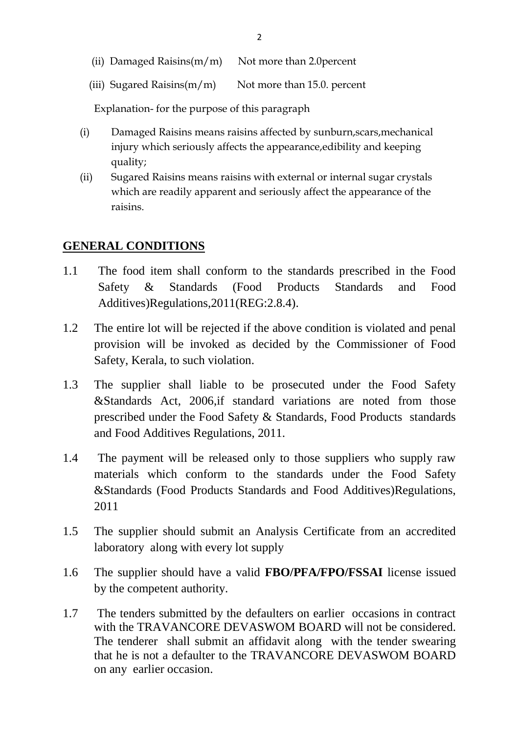|  | (ii) Damaged Raisins $(m/m)$ Not more than 2.0 percent |
|--|--------------------------------------------------------|
|  |                                                        |

(iii) Sugared Raisins $(m/m)$  Not more than 15.0. percent

Explanation- for the purpose of this paragraph

- (i) Damaged Raisins means raisins affected by sunburn,scars,mechanical injury which seriously affects the appearance,edibility and keeping quality;
- (ii) Sugared Raisins means raisins with external or internal sugar crystals which are readily apparent and seriously affect the appearance of the raisins.

## **GENERAL CONDITIONS**

- 1.1 The food item shall conform to the standards prescribed in the Food Safety & Standards (Food Products Standards and Food Additives)Regulations,2011(REG:2.8.4).
- 1.2 The entire lot will be rejected if the above condition is violated and penal provision will be invoked as decided by the Commissioner of Food Safety, Kerala, to such violation.
- 1.3 The supplier shall liable to be prosecuted under the Food Safety &Standards Act, 2006,if standard variations are noted from those prescribed under the Food Safety & Standards, Food Products standards and Food Additives Regulations, 2011.
- 1.4 The payment will be released only to those suppliers who supply raw materials which conform to the standards under the Food Safety &Standards (Food Products Standards and Food Additives)Regulations, 2011
- 1.5 The supplier should submit an Analysis Certificate from an accredited laboratory along with every lot supply
- 1.6 The supplier should have a valid **FBO/PFA/FPO/FSSAI** license issued by the competent authority.
- 1.7 The tenders submitted by the defaulters on earlier occasions in contract with the TRAVANCORE DEVASWOM BOARD will not be considered. The tenderer shall submit an affidavit along with the tender swearing that he is not a defaulter to the TRAVANCORE DEVASWOM BOARD on any earlier occasion.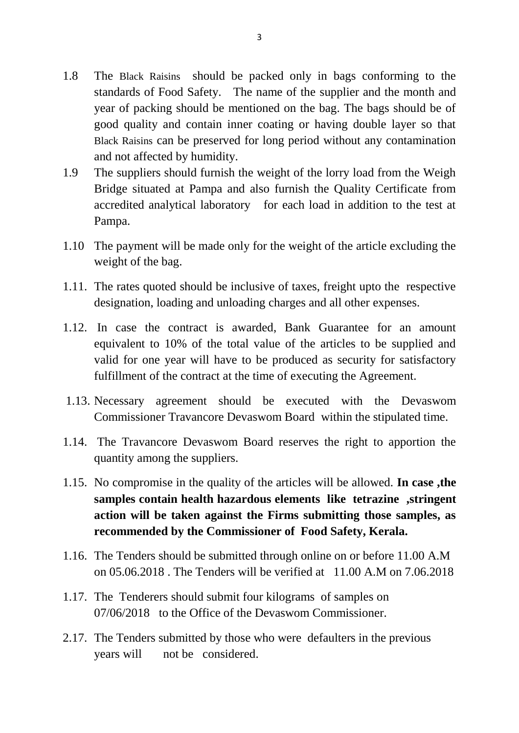- 1.8 The Black Raisins should be packed only in bags conforming to the standards of Food Safety. The name of the supplier and the month and year of packing should be mentioned on the bag. The bags should be of good quality and contain inner coating or having double layer so that Black Raisins can be preserved for long period without any contamination and not affected by humidity.
- 1.9 The suppliers should furnish the weight of the lorry load from the Weigh Bridge situated at Pampa and also furnish the Quality Certificate from accredited analytical laboratory for each load in addition to the test at Pampa.
- 1.10 The payment will be made only for the weight of the article excluding the weight of the bag.
- 1.11. The rates quoted should be inclusive of taxes, freight upto the respective designation, loading and unloading charges and all other expenses.
- 1.12. In case the contract is awarded, Bank Guarantee for an amount equivalent to 10% of the total value of the articles to be supplied and valid for one year will have to be produced as security for satisfactory fulfillment of the contract at the time of executing the Agreement.
- 1.13. Necessary agreement should be executed with the Devaswom Commissioner Travancore Devaswom Board within the stipulated time.
- 1.14. The Travancore Devaswom Board reserves the right to apportion the quantity among the suppliers.
- 1.15. No compromise in the quality of the articles will be allowed. **In case ,the samples contain health hazardous elements like tetrazine ,stringent action will be taken against the Firms submitting those samples, as recommended by the Commissioner of Food Safety, Kerala.**
- 1.16. The Tenders should be submitted through online on or before 11.00 A.M on 05.06.2018 . The Tenders will be verified at 11.00 A.M on 7.06.2018
- 1.17. The Tenderers should submit four kilograms of samples on 07/06/2018 to the Office of the Devaswom Commissioner.
- 2.17. The Tenders submitted by those who were defaulters in the previous years will not be considered.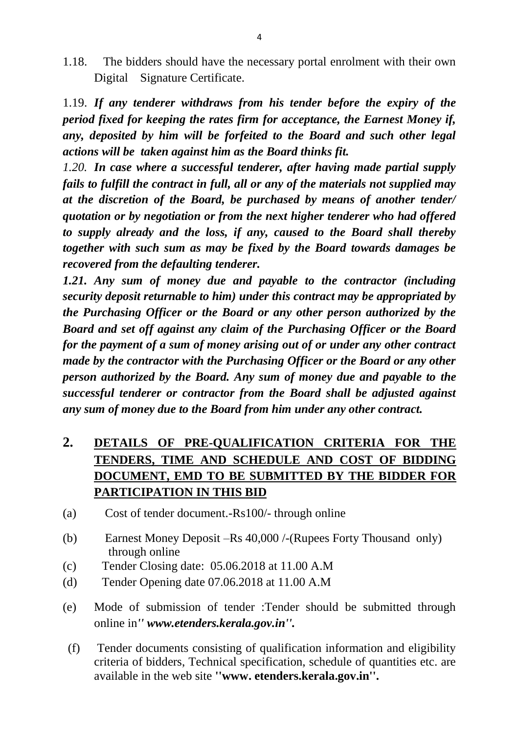1.18. The bidders should have the necessary portal enrolment with their own Digital Signature Certificate.

1.19. *If any tenderer withdraws from his tender before the expiry of the period fixed for keeping the rates firm for acceptance, the Earnest Money if, any, deposited by him will be forfeited to the Board and such other legal actions will be taken against him as the Board thinks fit.*

*1.20. In case where a successful tenderer, after having made partial supply fails to fulfill the contract in full, all or any of the materials not supplied may at the discretion of the Board, be purchased by means of another tender/ quotation or by negotiation or from the next higher tenderer who had offered to supply already and the loss, if any, caused to the Board shall thereby together with such sum as may be fixed by the Board towards damages be recovered from the defaulting tenderer.*

*1.21. Any sum of money due and payable to the contractor (including security deposit returnable to him) under this contract may be appropriated by the Purchasing Officer or the Board or any other person authorized by the Board and set off against any claim of the Purchasing Officer or the Board for the payment of a sum of money arising out of or under any other contract made by the contractor with the Purchasing Officer or the Board or any other person authorized by the Board. Any sum of money due and payable to the successful tenderer or contractor from the Board shall be adjusted against any sum of money due to the Board from him under any other contract.*

# **2. DETAILS OF PRE-QUALIFICATION CRITERIA FOR THE TENDERS, TIME AND SCHEDULE AND COST OF BIDDING DOCUMENT, EMD TO BE SUBMITTED BY THE BIDDER FOR PARTICIPATION IN THIS BID**

- (a) Cost of tender document.-Rs100/- through online
- (b) Earnest Money Deposit –Rs 40,000 /-(Rupees Forty Thousand only) through online
- (c) Tender Closing date: 05.06.2018 at 11.00 A.M
- (d) Tender Opening date 07.06.2018 at 11.00 A.M
- (e) Mode of submission of tender :Tender should be submitted through online in*'' www.etenders.kerala.gov.in''.*
- (f) Tender documents consisting of qualification information and eligibility criteria of bidders, Technical specification, schedule of quantities etc. are available in the web site **''www. etenders.kerala.gov.in''.**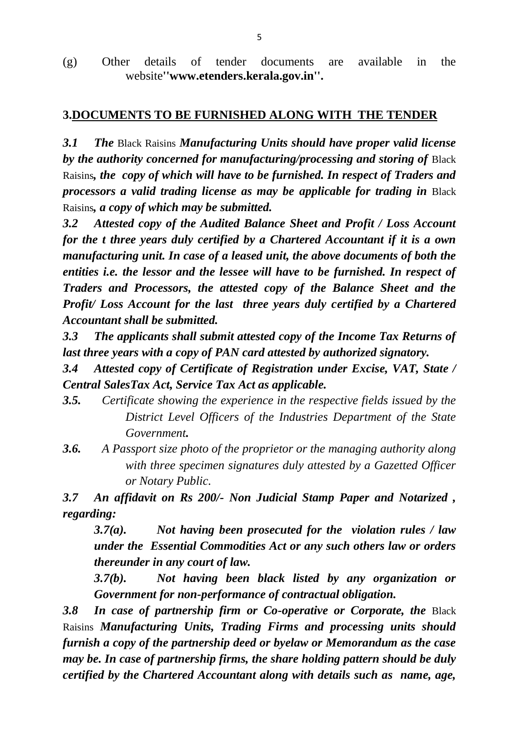(g) Other details of tender documents are available in the website**''www.etenders.kerala.gov.in''.**

## **3.DOCUMENTS TO BE FURNISHED ALONG WITH THE TENDER**

*3.1 The* Black Raisins *Manufacturing Units should have proper valid license by the authority concerned for manufacturing/processing and storing of* Black Raisins*, the copy of which will have to be furnished. In respect of Traders and processors a valid trading license as may be applicable for trading in* Black Raisins*, a copy of which may be submitted.*

*3.2 Attested copy of the Audited Balance Sheet and Profit / Loss Account for the t three years duly certified by a Chartered Accountant if it is a own manufacturing unit. In case of a leased unit, the above documents of both the entities i.e. the lessor and the lessee will have to be furnished. In respect of Traders and Processors, the attested copy of the Balance Sheet and the Profit/ Loss Account for the last three years duly certified by a Chartered Accountant shall be submitted.*

*3.3 The applicants shall submit attested copy of the Income Tax Returns of last three years with a copy of PAN card attested by authorized signatory.*

*3.4 Attested copy of Certificate of Registration under Excise, VAT, State / Central SalesTax Act, Service Tax Act as applicable.*

- *3.5. Certificate showing the experience in the respective fields issued by the District Level Officers of the Industries Department of the State Government.*
- *3.6. A Passport size photo of the proprietor or the managing authority along with three specimen signatures duly attested by a Gazetted Officer or Notary Public.*

*3.7 An affidavit on Rs 200/- Non Judicial Stamp Paper and Notarized , regarding:*

*3.7(a). Not having been prosecuted for the violation rules / law under the Essential Commodities Act or any such others law or orders thereunder in any court of law.*

*3.7(b). Not having been black listed by any organization or Government for non-performance of contractual obligation.*

**3.8 In case of partnership firm or Co-operative or Corporate, the Black** Raisins *Manufacturing Units, Trading Firms and processing units should furnish a copy of the partnership deed or byelaw or Memorandum as the case may be. In case of partnership firms, the share holding pattern should be duly certified by the Chartered Accountant along with details such as name, age,*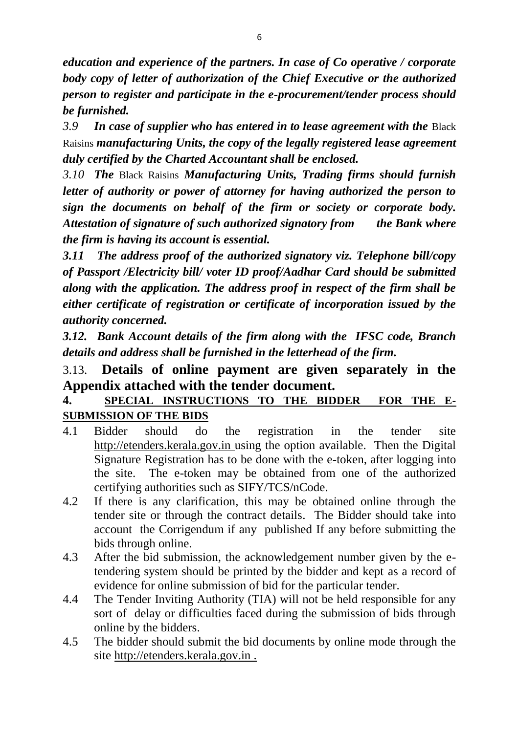*education and experience of the partners. In case of Co operative / corporate body copy of letter of authorization of the Chief Executive or the authorized person to register and participate in the e-procurement/tender process should be furnished.*

*3.9 In case of supplier who has entered in to lease agreement with the* Black Raisins *manufacturing Units, the copy of the legally registered lease agreement duly certified by the Charted Accountant shall be enclosed.*

*3.10 The* Black Raisins *Manufacturing Units, Trading firms should furnish letter of authority or power of attorney for having authorized the person to sign the documents on behalf of the firm or society or corporate body. Attestation of signature of such authorized signatory from the Bank where the firm is having its account is essential.*

*3.11 The address proof of the authorized signatory viz. Telephone bill/copy of Passport /Electricity bill/ voter ID proof/Aadhar Card should be submitted along with the application. The address proof in respect of the firm shall be either certificate of registration or certificate of incorporation issued by the authority concerned.*

*3.12. Bank Account details of the firm along with the IFSC code, Branch details and address shall be furnished in the letterhead of the firm.*

# 3.13. **Details of online payment are given separately in the Appendix attached with the tender document.**

## **4. SPECIAL INSTRUCTIONS TO THE BIDDER FOR THE E-SUBMISSION OF THE BIDS**

- 4.1 Bidder should do the registration in the tender site http://etenders.kerala.gov.in using the option available. Then the Digital Signature Registration has to be done with the e-token, after logging into the site. The e-token may be obtained from one of the authorized certifying authorities such as SIFY/TCS/nCode.
- 4.2 If there is any clarification, this may be obtained online through the tender site or through the contract details. The Bidder should take into account the Corrigendum if any published If any before submitting the bids through online.
- 4.3 After the bid submission, the acknowledgement number given by the etendering system should be printed by the bidder and kept as a record of evidence for online submission of bid for the particular tender.
- 4.4 The Tender Inviting Authority (TIA) will not be held responsible for any sort of delay or difficulties faced during the submission of bids through online by the bidders.
- 4.5 The bidder should submit the bid documents by online mode through the site http://etenders.kerala.gov.in .